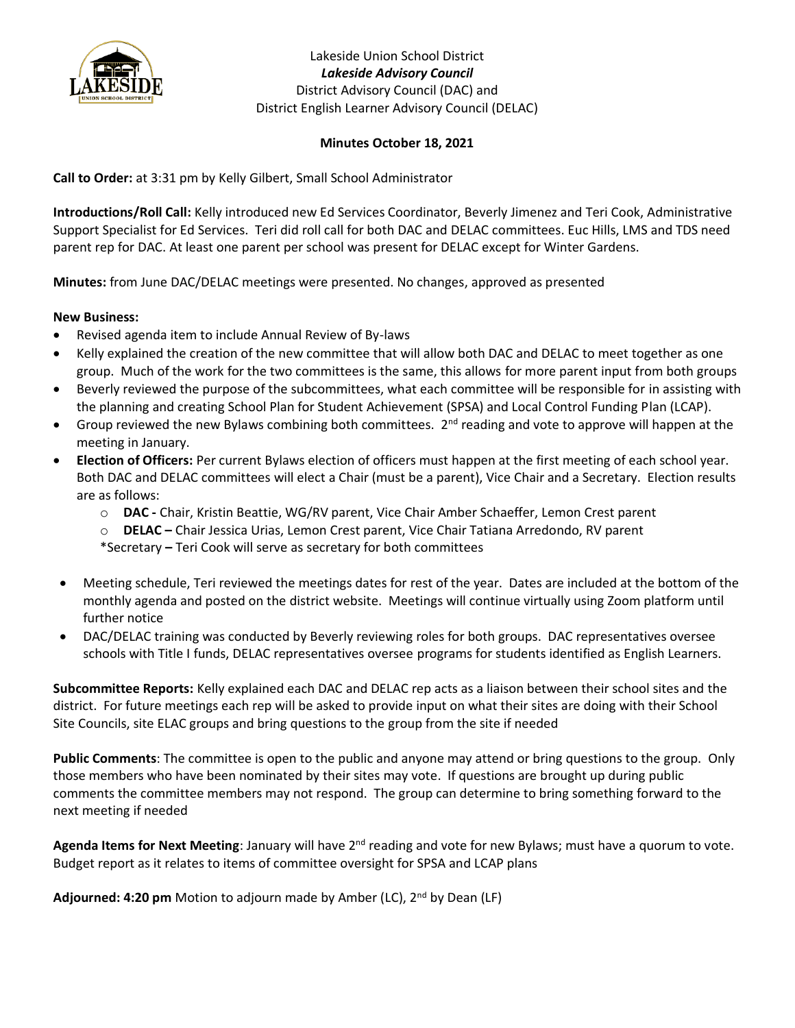

Lakeside Union School District *Lakeside Advisory Council* District Advisory Council (DAC) and District English Learner Advisory Council (DELAC)

## **Minutes October 18, 2021**

**Call to Order:** at 3:31 pm by Kelly Gilbert, Small School Administrator

**Introductions/Roll Call:** Kelly introduced new Ed Services Coordinator, Beverly Jimenez and Teri Cook, Administrative Support Specialist for Ed Services. Teri did roll call for both DAC and DELAC committees. Euc Hills, LMS and TDS need parent rep for DAC. At least one parent per school was present for DELAC except for Winter Gardens.

**Minutes:** from June DAC/DELAC meetings were presented. No changes, approved as presented

## **New Business:**

- Revised agenda item to include Annual Review of By-laws
- Kelly explained the creation of the new committee that will allow both DAC and DELAC to meet together as one group. Much of the work for the two committees is the same, this allows for more parent input from both groups
- Beverly reviewed the purpose of the subcommittees, what each committee will be responsible for in assisting with the planning and creating School Plan for Student Achievement (SPSA) and Local Control Funding Plan (LCAP).
- Group reviewed the new Bylaws combining both committees. 2<sup>nd</sup> reading and vote to approve will happen at the meeting in January.
- **Election of Officers:** Per current Bylaws election of officers must happen at the first meeting of each school year. Both DAC and DELAC committees will elect a Chair (must be a parent), Vice Chair and a Secretary. Election results are as follows:
	- o **DAC -** Chair, Kristin Beattie, WG/RV parent, Vice Chair Amber Schaeffer, Lemon Crest parent
	- o **DELAC –** Chair Jessica Urias, Lemon Crest parent, Vice Chair Tatiana Arredondo, RV parent \*Secretary **–** Teri Cook will serve as secretary for both committees
- Meeting schedule, Teri reviewed the meetings dates for rest of the year. Dates are included at the bottom of the monthly agenda and posted on the district website. Meetings will continue virtually using Zoom platform until further notice
- DAC/DELAC training was conducted by Beverly reviewing roles for both groups. DAC representatives oversee schools with Title I funds, DELAC representatives oversee programs for students identified as English Learners.

**Subcommittee Reports:** Kelly explained each DAC and DELAC rep acts as a liaison between their school sites and the district. For future meetings each rep will be asked to provide input on what their sites are doing with their School Site Councils, site ELAC groups and bring questions to the group from the site if needed

**Public Comments**: The committee is open to the public and anyone may attend or bring questions to the group. Only those members who have been nominated by their sites may vote. If questions are brought up during public comments the committee members may not respond. The group can determine to bring something forward to the next meeting if needed

Agenda Items for Next Meeting: January will have 2<sup>nd</sup> reading and vote for new Bylaws; must have a quorum to vote. Budget report as it relates to items of committee oversight for SPSA and LCAP plans

**Adjourned: 4:20 pm** Motion to adjourn made by Amber (LC), 2nd by Dean (LF)